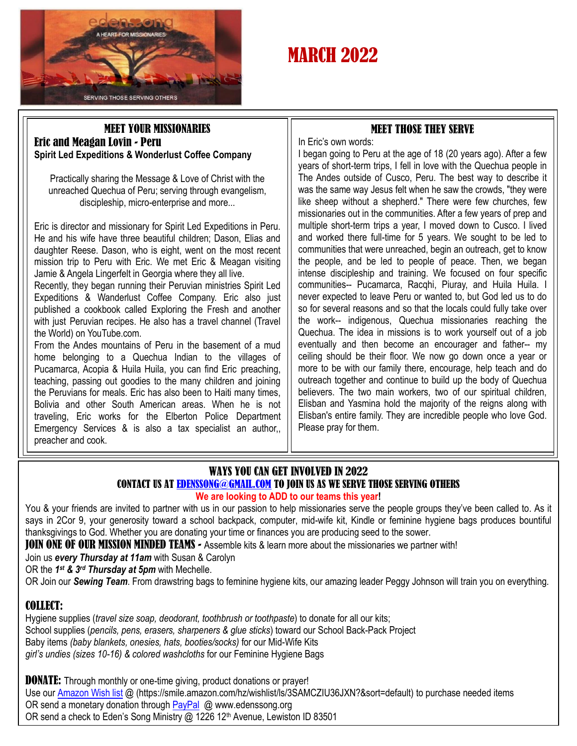

# **MARCH 2022**

## MEET YOUR MISSIONARIES Eric and Meagan Lovin - Peru **Spirit Led Expeditions & Wonderlust Coffee Company**

Practically sharing the Message & Love of Christ with the unreached Quechua of Peru; serving through evangelism, discipleship, micro-enterprise and more...

Eric is director and missionary for Spirit Led Expeditions in Peru. He and his wife have three beautiful children; Dason, Elias and daughter Reese. Dason, who is eight, went on the most recent mission trip to Peru with Eric. We met Eric & Meagan visiting Jamie & Angela Lingerfelt in Georgia where they all live.

Recently, they began running their Peruvian ministries Spirit Led Expeditions & Wanderlust Coffee Company. Eric also just published a cookbook called Exploring the Fresh and another with just Peruvian recipes. He also has a travel channel (Travel the World) on YouTube.com.

From the Andes mountains of Peru in the basement of a mud home belonging to a Quechua Indian to the villages of Pucamarca, Acopia & Huila Huila, you can find Eric preaching, teaching, passing out goodies to the many children and joining the Peruvians for meals. Eric has also been to Haiti many times, Bolivia and other South American areas. When he is not traveling, Eric works for the Elberton Police Department Emergency Services & is also a tax specialist an author,, preacher and cook.

## MEET THOSE THEY SERVE

In Eric's own words:

I began going to Peru at the age of 18 (20 years ago). After a few years of short-term trips, I fell in love with the Quechua people in The Andes outside of Cusco, Peru. The best way to describe it was the same way Jesus felt when he saw the crowds, "they were like sheep without a shepherd." There were few churches, few missionaries out in the communities. After a few years of prep and multiple short-term trips a year, I moved down to Cusco. I lived and worked there full-time for 5 years. We sought to be led to communities that were unreached, begin an outreach, get to know the people, and be led to people of peace. Then, we began intense discipleship and training. We focused on four specific communities-- Pucamarca, Racqhi, Piuray, and Huila Huila. I never expected to leave Peru or wanted to, but God led us to do so for several reasons and so that the locals could fully take over the work-- indigenous, Quechua missionaries reaching the Quechua. The idea in missions is to work yourself out of a job eventually and then become an encourager and father-- my ceiling should be their floor. We now go down once a year or more to be with our family there, encourage, help teach and do outreach together and continue to build up the body of Quechua believers. The two main workers, two of our spiritual children, Elisban and Yasmina hold the majority of the reigns along with Elisban's entire family. They are incredible people who love God. Please pray for them.

## WAYS YOU CAN GET INVOLVED IN 2022 CONTACT US AT [EDENSSONG@GMAIL.COM](mailto:EDENSSONG@GMAIL.COM) TO JOIN US AS WE SERVE THOSE SERVING OTHERS **We are looking to ADD to our teams this year!**

You & your friends are invited to partner with us in our passion to help missionaries serve the people groups they've been called to. As it says in 2Cor 9, your generosity toward a school backpack, computer, mid-wife kit, Kindle or feminine hygiene bags produces bountiful thanksgivings to God. Whether you are donating your time or finances you are producing seed to the sower.

**JOIN ONE OF OUR MISSION MINDED TEAMS -** Assemble kits & learn more about the missionaries we partner with!

Join us *every Thursday at 11am* with Susan & Carolyn

OR the *1 st & 3rd Thursday at 5pm* with Mechelle.

OR Join our *Sewing Team*. From drawstring bags to feminine hygiene kits, our amazing leader Peggy Johnson will train you on everything.

## COLLECT:

Hygiene supplies (*travel size soap, deodorant, toothbrush or toothpaste*) to donate for all our kits; School supplies (*pencils, pens, erasers, sharpeners & glue sticks*) toward our School Back-Pack Project Baby items *(baby blankets, onesies, hats, booties/socks)* for our Mid-Wife Kits *girl's undies (sizes 10-16) & colored washcloths* for our Feminine Hygiene Bags

**DONATE:** Through monthly or one-time giving, product donations or prayer! Use our [Amazon Wish list](https://smile.amazon.com/hz/wishlist/ls/3SAMCZIU36JXN?&sort=default) @ (https://smile.amazon.com/hz/wishlist/ls/3SAMCZIU36JXN?&sort=default) to purchase needed items OR send a monetary donation through [PayPal](https://www.edenssong.org/) @ www.edenssong.org OR send a check to Eden's Song Ministry @ 1226 12<sup>th</sup> Avenue, Lewiston ID 83501